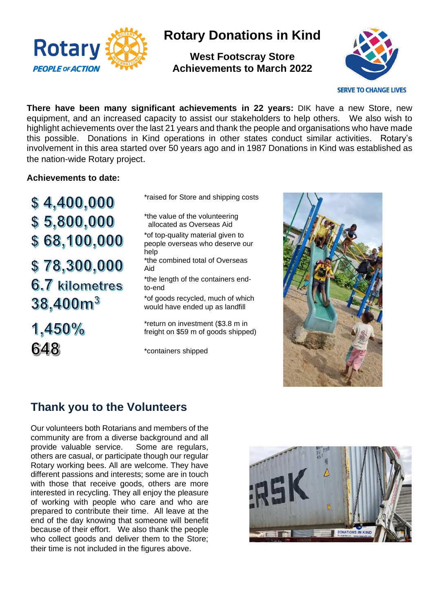

# **Rotary Donations in Kind**

**West Footscray Store Achievements to March 2022**



**There have been many significant achievements in 22 years:** DIK have a new Store, new equipment, and an increased capacity to assist our stakeholders to help others. We also wish to highlight achievements over the last 21 years and thank the people and organisations who have made this possible. Donations in Kind operations in other states conduct similar activities. Rotary's involvement in this area started over 50 years ago and in 1987 Donations in Kind was established as the nation-wide Rotary project.

#### **Achievements to date:**

 $$4,400,000$  $$5,800,000$ \$68,100,000 \$78,300,000 6.7 kilometres  $38,400m^3$ 

1,450% 648

\*raised for Store and shipping costs

\*the value of the volunteering allocated as Overseas Aid \*of top-quality material given to people overseas who deserve our help \*the combined total of Overseas Aid

\*the length of the containers endto-end

\*of goods recycled, much of which would have ended up as landfill

\*return on investment (\$3.8 m in freight on \$59 m of goods shipped)

\*containers shipped



#### **Thank you to the Volunteers**

Our volunteers both Rotarians and members of the community are from a diverse background and all provide valuable service. Some are regulars, others are casual, or participate though our regular Rotary working bees. All are welcome. They have different passions and interests; some are in touch with those that receive goods, others are more interested in recycling. They all enjoy the pleasure of working with people who care and who are prepared to contribute their time. All leave at the end of the day knowing that someone will benefit because of their effort. We also thank the people who collect goods and deliver them to the Store; their time is not included in the figures above.